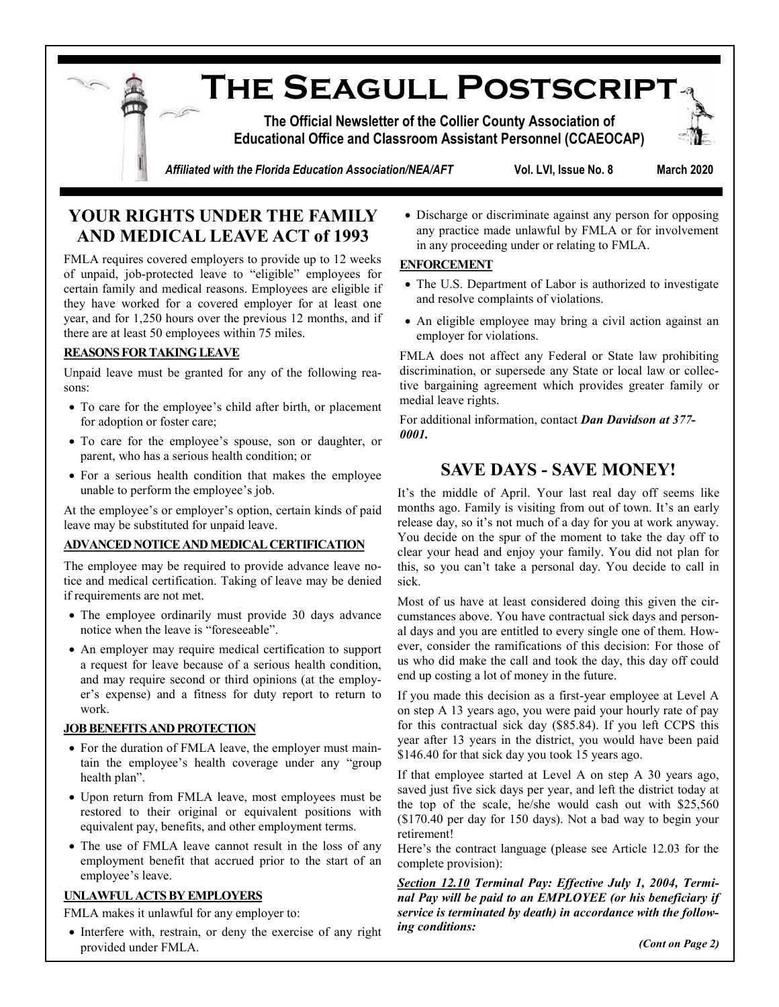**The Seagull Postscript**

**The Official Newsletter of the Collier County Association of Educational Office and Classroom Assistant Personnel (CCAEOCAP)**



*Affiliated with the Florida Education Association/NEA/AFT* **Vol. LVI, Issue No. 8 March 2020**

## **YOUR RIGHTS UNDER THE FAMILY AND MEDICAL LEAVE ACT of 1993**

FMLA requires covered employers to provide up to 12 weeks of unpaid, job-protected leave to "eligible" employees for certain family and medical reasons. Employees are eligible if they have worked for a covered employer for at least one year, and for 1,250 hours over the previous 12 months, and if there are at least 50 employees within 75 miles.

### **REASONS FOR TAKING LEAVE**

Unpaid leave must be granted for any of the following reasons:

- To care for the employee's child after birth, or placement for adoption or foster care;
- To care for the employee's spouse, son or daughter, or parent, who has a serious health condition; or
- For a serious health condition that makes the employee unable to perform the employee's job.

At the employee's or employer's option, certain kinds of paid leave may be substituted for unpaid leave.

### **ADVANCED NOTICE AND MEDICAL CERTIFICATION**

The employee may be required to provide advance leave notice and medical certification. Taking of leave may be denied if requirements are not met.

- The employee ordinarily must provide 30 days advance notice when the leave is "foreseeable".
- An employer may require medical certification to support a request for leave because of a serious health condition, and may require second or third opinions (at the employer's expense) and a fitness for duty report to return to work.

### **JOB BENEFITS AND PROTECTION**

- For the duration of FMLA leave, the employer must maintain the employee's health coverage under any "group health plan".
- Upon return from FMLA leave, most employees must be restored to their original or equivalent positions with equivalent pay, benefits, and other employment terms.
- The use of FMLA leave cannot result in the loss of any employment benefit that accrued prior to the start of an employee's leave.

### **UNLAWFUL ACTS BY EMPLOYERS**

FMLA makes it unlawful for any employer to:

• Interfere with, restrain, or deny the exercise of any right provided under FMLA.

• Discharge or discriminate against any person for opposing any practice made unlawful by FMLA or for involvement in any proceeding under or relating to FMLA.

### **ENFORCEMENT**

- The U.S. Department of Labor is authorized to investigate and resolve complaints of violations.
- An eligible employee may bring a civil action against an employer for violations.

FMLA does not affect any Federal or State law prohibiting discrimination, or supersede any State or local law or collective bargaining agreement which provides greater family or medial leave rights.

For additional information, contact *Dan Davidson at 377- 0001.*

## **SAVE DAYS - SAVE MONEY!**

It's the middle of April. Your last real day off seems like months ago. Family is visiting from out of town. It's an early release day, so it's not much of a day for you at work anyway. You decide on the spur of the moment to take the day off to clear your head and enjoy your family. You did not plan for this, so you can't take a personal day. You decide to call in sick.

Most of us have at least considered doing this given the circumstances above. You have contractual sick days and personal days and you are entitled to every single one of them. However, consider the ramifications of this decision: For those of us who did make the call and took the day, this day off could end up costing a lot of money in the future.

If you made this decision as a first-year employee at Level A on step A 13 years ago, you were paid your hourly rate of pay for this contractual sick day (\$85.84). If you left CCPS this year after 13 years in the district, you would have been paid \$146.40 for that sick day you took 15 years ago.

If that employee started at Level A on step A 30 years ago, saved just five sick days per year, and left the district today at the top of the scale, he/she would cash out with \$25,560 (\$170.40 per day for 150 days). Not a bad way to begin your retirement!

Here's the contract language (please see Article 12.03 for the complete provision):

*Section 12.10 Terminal Pay: Effective July 1, 2004, Terminal Pay will be paid to an EMPLOYEE (or his beneficiary if service is terminated by death) in accordance with the following conditions:*